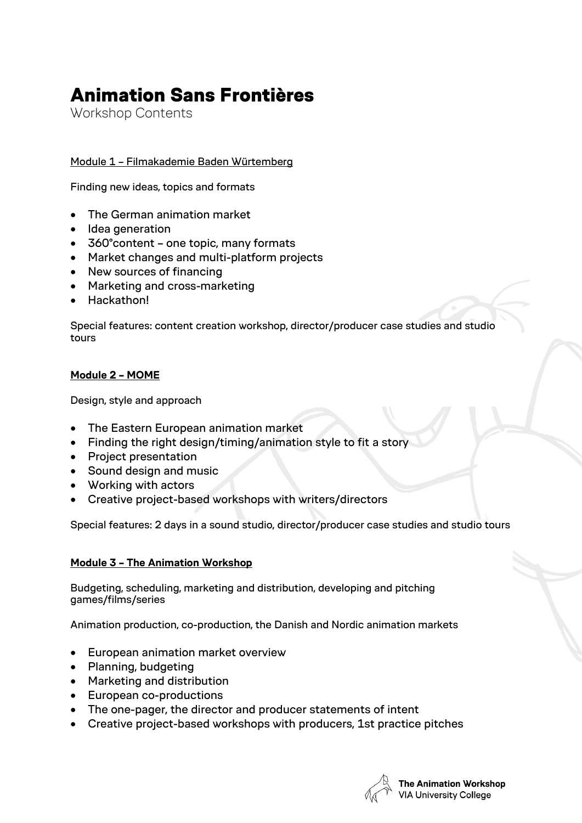## Animation Sans Frontières

Workshop Contents

Module 1 – Filmakademie Baden Würtemberg

Finding new ideas, topics and formats

- The German animation market
- Idea generation
- 360°content one topic, many formats
- Market changes and multi-platform projects
- New sources of financing
- Marketing and cross-marketing
- Hackathon!

Special features: content creation workshop, director/producer case studies and studio tours

## **Module 2 – MOME**

Design, style and approach

- The Eastern European animation market
- Finding the right design/timing/animation style to fit a story
- Project presentation
- Sound design and music
- Working with actors
- Creative project-based workshops with writers/directors

Special features: 2 days in a sound studio, director/producer case studies and studio tours

## **Module 3 – The Animation Workshop**

Budgeting, scheduling, marketing and distribution, developing and pitching games/films/series

Animation production, co-production, the Danish and Nordic animation markets

- European animation market overview
- Planning, budgeting
- Marketing and distribution
- European co-productions
- The one-pager, the director and producer statements of intent
- Creative project-based workshops with producers, 1st practice pitches